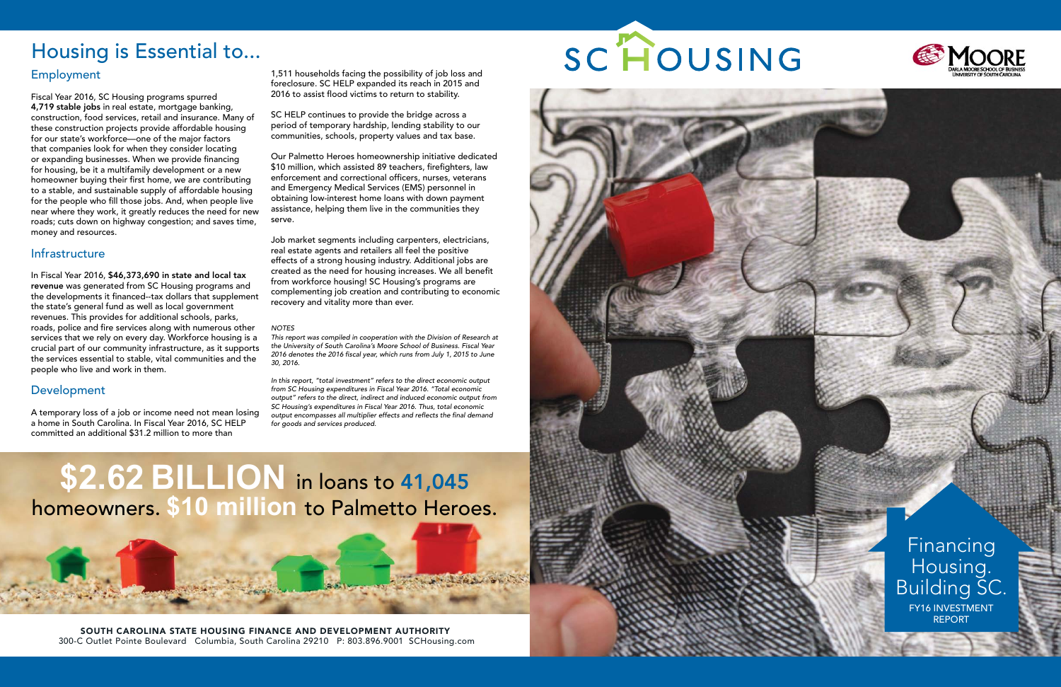SOUTH CAROLINA STATE HOUSING FINANCE AND DEVELOPMENT AUTHORITY 300-C Outlet Pointe Boulevard Columbia, South Carolina 29210 P: 803.896.9001 SCHousing.com

# SC HOUSING







**\$2.62 BILLION** in loans to 41,045 homeowners. **\$10 million** to Palmetto Heroes.

> Financing Housing. Building SC. FY16 INVESTMENT REPORT

## Employment

Fiscal Year 2016, SC Housing programs spurred 4,719 stable jobs in real estate, mortgage banking, construction, food services, retail and insurance. Many of these construction projects provide affordable housing for our state's workforce—one of the major factors that companies look for when they consider locating or expanding businesses. When we provide financing for housing, be it a multifamily development or a new homeowner buying their first home, we are contributing to a stable, and sustainable supply of affordable housing for the people who fill those jobs. And, when people live near where they work, it greatly reduces the need for new roads; cuts down on highway congestion; and saves time, money and resources.

### Infrastructure

In Fiscal Year 2016, \$46,373,690 in state and local tax revenue was generated from SC Housing programs and the developments it financed--tax dollars that supplement the state's general fund as well as local government revenues. This provides for additional schools, parks, roads, police and fire services along with numerous other services that we rely on every day. Workforce housing is a crucial part of our community infrastructure, as it supports the services essential to stable, vital communities and the people who live and work in them.

### Development

A temporary loss of a job or income need not mean losing a home in South Carolina. In Fiscal Year 2016, SC HELP committed an additional \$31.2 million to more than

1,511 households facing the possibility of job loss and foreclosure. SC HELP expanded its reach in 2015 and 2016 to assist flood victims to return to stability.

SC HELP continues to provide the bridge across a period of temporary hardship, lending stability to our communities, schools, property values and tax base.

Our Palmetto Heroes homeownership initiative dedicated \$10 million, which assisted 89 teachers, firefighters, law enforcement and correctional officers, nurses, veterans and Emergency Medical Services (EMS) personnel in obtaining low-interest home loans with down payment assistance, helping them live in the communities they serve.

Job market segments including carpenters, electricians, real estate agents and retailers all feel the positive effects of a strong housing industry. Additional jobs are created as the need for housing increases. We all benefit from workforce housing! SC Housing's programs are complementing job creation and contributing to economic recovery and vitality more than ever.

#### *NOTES*

*This report was compiled in cooperation with the Division of Research at the University of South Carolina's Moore School of Business. Fiscal Year 2016 denotes the 2016 fiscal year, which runs from July 1, 2015 to June 30, 2016.*

*In this report, "total investment" refers to the direct economic output from SC Housing expenditures in Fiscal Year 2016. "Total economic output" refers to the direct, indirect and induced economic output from SC Housing's expenditures in Fiscal Year 2016. Thus, total economic output encompasses all multiplier effects and reflects the final demand for goods and services produced.*

## Housing is Essential to...